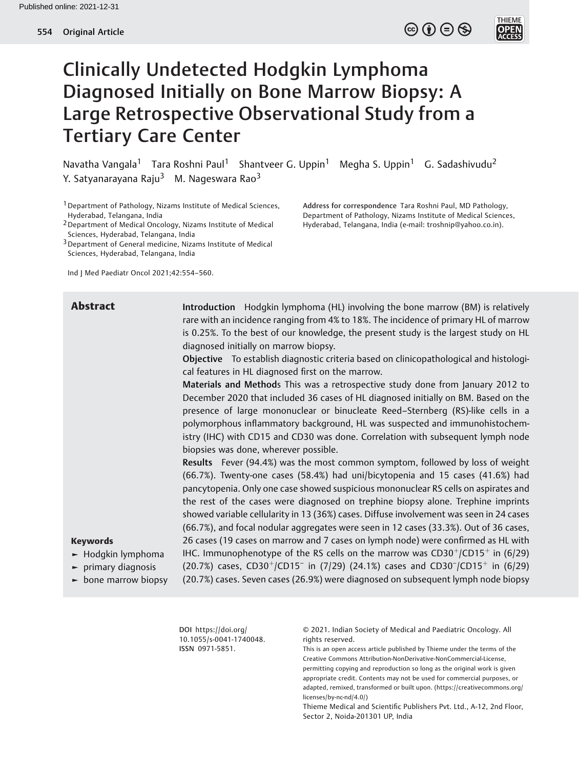$\circledcirc$   $\oplus$   $\circledcirc$ 



# Clinically Undetected Hodgkin Lymphoma Diagnosed Initially on Bone Marrow Biopsy: A Large Retrospective Observational Study from a Tertiary Care Center

Navatha Vangala<sup>1</sup> Tara Roshni Paul<sup>1</sup> Shantveer G. Uppin<sup>1</sup> Megha S. Uppin<sup>1</sup> G. Sadashivudu<sup>2</sup> Y. Satyanarayana Raju<sup>3</sup> M. Nageswara Rao<sup>3</sup>

1Department of Pathology, Nizams Institute of Medical Sciences, Hyderabad, Telangana, India

2Department of Medical Oncology, Nizams Institute of Medical Sciences, Hyderabad, Telangana, India

3Department of General medicine, Nizams Institute of Medical Sciences, Hyderabad, Telangana, India

Ind J Med Paediatr Oncol 2021;42:554–560.

Keywords

► Hodgkin lymphoma ► primary diagnosis ► bone marrow biopsy Address for correspondence Tara Roshni Paul, MD Pathology, Department of Pathology, Nizams Institute of Medical Sciences, Hyderabad, Telangana, India (e-mail: [troshnip@yahoo.co.in](mailto:troshnip@yahoo.co.in)).

**Abstract** Introduction Hodgkin lymphoma (HL) involving the bone marrow (BM) is relatively rare with an incidence ranging from 4% to 18%. The incidence of primary HL of marrow is 0.25%. To the best of our knowledge, the present study is the largest study on HL diagnosed initially on marrow biopsy.

> Objective To establish diagnostic criteria based on clinicopathological and histological features in HL diagnosed first on the marrow.

> Materials and Methods This was a retrospective study done from January 2012 to December 2020 that included 36 cases of HL diagnosed initially on BM. Based on the presence of large mononuclear or binucleate Reed–Sternberg (RS)-like cells in a polymorphous inflammatory background, HL was suspected and immunohistochemistry (IHC) with CD15 and CD30 was done. Correlation with subsequent lymph node biopsies was done, wherever possible.

> Results Fever (94.4%) was the most common symptom, followed by loss of weight (66.7%). Twenty-one cases (58.4%) had uni/bicytopenia and 15 cases (41.6%) had pancytopenia. Only one case showed suspicious mononuclear RS cells on aspirates and the rest of the cases were diagnosed on trephine biopsy alone. Trephine imprints showed variable cellularity in 13 (36%) cases. Diffuse involvement was seen in 24 cases (66.7%), and focal nodular aggregates were seen in 12 cases (33.3%). Out of 36 cases, 26 cases (19 cases on marrow and 7 cases on lymph node) were confirmed as HL with IHC. Immunophenotype of the RS cells on the marrow was  $CD30<sup>+</sup>/CD15<sup>+</sup>$  in (6/29) (20.7%) cases, CD30<sup>+</sup>/CD15<sup>-</sup> in (7/29) (24.1%) cases and CD30<sup>-</sup>/CD15<sup>+</sup> in (6/29) (20.7%) cases. Seven cases (26.9%) were diagnosed on subsequent lymph node biopsy

DOI [https://doi.org/](https://doi.org/10.1055/s-0041-1740048) [10.1055/s-0041-1740048](https://doi.org/10.1055/s-0041-1740048). ISSN 0971-5851.

© 2021. Indian Society of Medical and Paediatric Oncology. All rights reserved.

This is an open access article published by Thieme under the terms of the Creative Commons Attribution-NonDerivative-NonCommercial-License, permitting copying and reproduction so long as the original work is given appropriate credit. Contents may not be used for commercial purposes, or adapted, remixed, transformed or built upon. (https://creativecommons.org/ licenses/by-nc-nd/4.0/)

Thieme Medical and Scientific Publishers Pvt. Ltd., A-12, 2nd Floor, Sector 2, Noida-201301 UP, India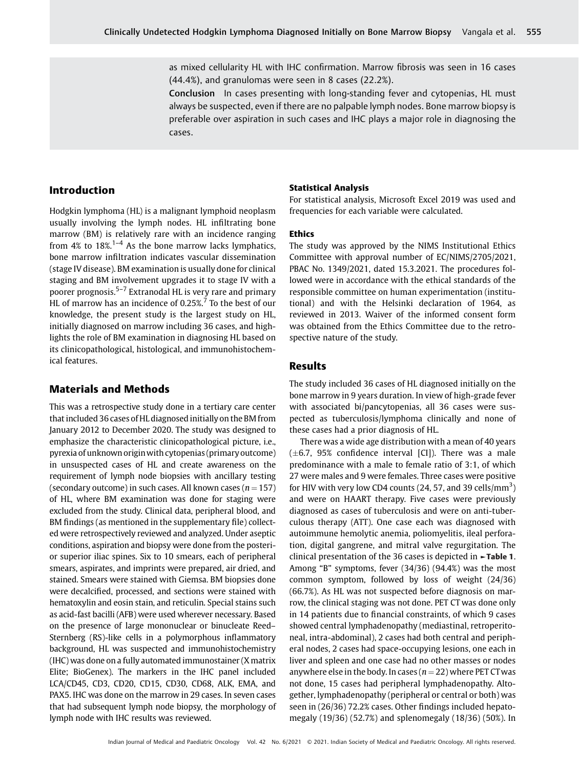as mixed cellularity HL with IHC confirmation. Marrow fibrosis was seen in 16 cases (44.4%), and granulomas were seen in 8 cases (22.2%).

Conclusion In cases presenting with long-standing fever and cytopenias, HL must always be suspected, even if there are no palpable lymph nodes. Bone marrow biopsy is preferable over aspiration in such cases and IHC plays a major role in diagnosing the cases.

### Introduction

Hodgkin lymphoma (HL) is a malignant lymphoid neoplasm usually involving the lymph nodes. HL infiltrating bone marrow (BM) is relatively rare with an incidence ranging from  $4\%$  to  $18\%$ .<sup>1-4</sup> As the bone marrow lacks lymphatics, bone marrow infiltration indicates vascular dissemination (stage IV disease). BM examination is usually done for clinical staging and BM involvement upgrades it to stage IV with a poorer prognosis.5–<sup>7</sup> Extranodal HL is very rare and primary HL of marrow has an incidence of 0.25%.<sup>7</sup> To the best of our knowledge, the present study is the largest study on HL, initially diagnosed on marrow including 36 cases, and highlights the role of BM examination in diagnosing HL based on its clinicopathological, histological, and immunohistochemical features.

# Materials and Methods

This was a retrospective study done in a tertiary care center that included 36 cases of HL diagnosed initially on the BM from January 2012 to December 2020. The study was designed to emphasize the characteristic clinicopathological picture, i.e., pyrexia of unknown originwith cytopenias (primary outcome) in unsuspected cases of HL and create awareness on the requirement of lymph node biopsies with ancillary testing (secondary outcome) in such cases. All known cases ( $n = 157$ ) of HL, where BM examination was done for staging were excluded from the study. Clinical data, peripheral blood, and BM findings (as mentioned in the supplementary file) collected were retrospectively reviewed and analyzed. Under aseptic conditions, aspiration and biopsy were done from the posterior superior iliac spines. Six to 10 smears, each of peripheral smears, aspirates, and imprints were prepared, air dried, and stained. Smears were stained with Giemsa. BM biopsies done were decalcified, processed, and sections were stained with hematoxylin and eosin stain, and reticulin. Special stains such as acid-fast bacilli (AFB) were used wherever necessary. Based on the presence of large mononuclear or binucleate Reed– Sternberg (RS)-like cells in a polymorphous inflammatory background, HL was suspected and immunohistochemistry (IHC) was done on a fully automated immunostainer (X matrix Elite; BioGenex). The markers in the IHC panel included LCA/CD45, CD3, CD20, CD15, CD30, CD68, ALK, EMA, and PAX5. IHC was done on the marrow in 29 cases. In seven cases that had subsequent lymph node biopsy, the morphology of lymph node with IHC results was reviewed.

#### Statistical Analysis

For statistical analysis, Microsoft Excel 2019 was used and frequencies for each variable were calculated.

#### Ethics

The study was approved by the NIMS Institutional Ethics Committee with approval number of EC/NIMS/2705/2021, PBAC No. 1349/2021, dated 15.3.2021. The procedures followed were in accordance with the ethical standards of the responsible committee on human experimentation (institutional) and with the Helsinki declaration of 1964, as reviewed in 2013. Waiver of the informed consent form was obtained from the Ethics Committee due to the retrospective nature of the study.

## Results

The study included 36 cases of HL diagnosed initially on the bone marrow in 9 years duration. In view of high-grade fever with associated bi/pancytopenias, all 36 cases were suspected as tuberculosis/lymphoma clinically and none of these cases had a prior diagnosis of HL.

There was a wide age distribution with a mean of 40 years  $(\pm 6.7, 95\%$  confidence interval [CI]). There was a male predominance with a male to female ratio of 3:1, of which 27 were males and 9 were females. Three cases were positive for HIV with very low CD4 counts (24, 57, and 39 cells/ $\text{mm}^3$ ) and were on HAART therapy. Five cases were previously diagnosed as cases of tuberculosis and were on anti-tuberculous therapy (ATT). One case each was diagnosed with autoimmune hemolytic anemia, poliomyelitis, ileal perforation, digital gangrene, and mitral valve regurgitation. The clinical presentation of the 36 cases is depicted in  $\blacktriangleright$ Table 1. Among "B" symptoms, fever (34/36) (94.4%) was the most common symptom, followed by loss of weight (24/36) (66.7%). As HL was not suspected before diagnosis on marrow, the clinical staging was not done. PET CT was done only in 14 patients due to financial constraints, of which 9 cases showed central lymphadenopathy (mediastinal, retroperitoneal, intra-abdominal), 2 cases had both central and peripheral nodes, 2 cases had space-occupying lesions, one each in liver and spleen and one case had no other masses or nodes anywhere else in the body. In cases ( $n = 22$ ) where PET CT was not done, 15 cases had peripheral lymphadenopathy. Altogether, lymphadenopathy (peripheral or central or both) was seen in (26/36) 72.2% cases. Other findings included hepatomegaly (19/36) (52.7%) and splenomegaly (18/36) (50%). In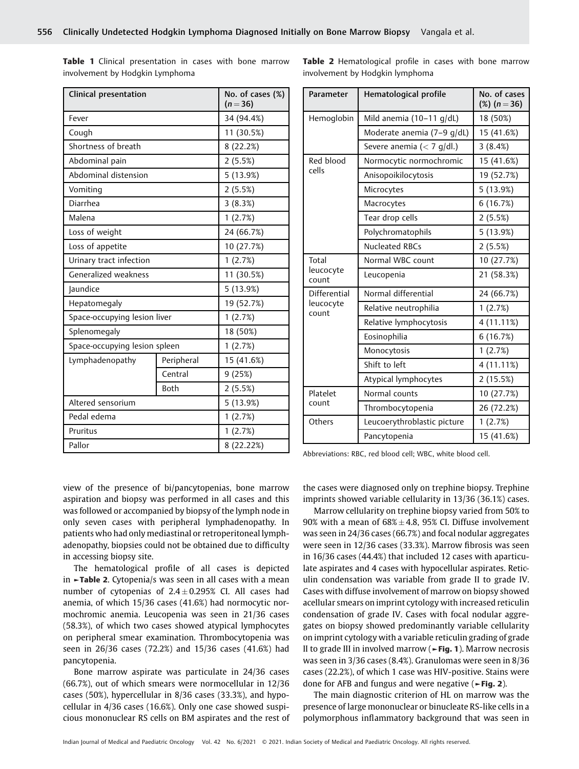Table 1 Clinical presentation in cases with bone marrow involvement by Hodgkin Lymphoma

Table 2 Hematological profile in cases with bone marrow involvement by Hodgkin lymphoma

| <b>Clinical presentation</b>  |             | No. of cases (%)<br>$(n = 36)$ |
|-------------------------------|-------------|--------------------------------|
| Fever                         |             | 34 (94.4%)                     |
| Cough                         |             | 11 (30.5%)                     |
| Shortness of breath           |             | 8(22.2%)                       |
| Abdominal pain                |             | 2(5.5%)                        |
| Abdominal distension          |             | 5 (13.9%)                      |
| Vomiting                      |             | 2(5.5%)                        |
| Diarrhea                      |             | 3(8.3%)                        |
| Malena                        |             | 1(2.7%)                        |
| Loss of weight                |             | 24 (66.7%)                     |
| Loss of appetite              |             | 10 (27.7%)                     |
| Urinary tract infection       |             | 1(2.7%)                        |
| Generalized weakness          |             | 11 (30.5%)                     |
| Jaundice                      |             | 5 (13.9%)                      |
| Hepatomegaly                  |             | 19 (52.7%)                     |
| Space-occupying lesion liver  |             | 1(2.7%)                        |
| Splenomegaly                  |             | 18 (50%)                       |
| Space-occupying lesion spleen |             | 1(2.7%)                        |
| Lymphadenopathy               | Peripheral  | 15 (41.6%)                     |
|                               | Central     | 9(25%)                         |
|                               | <b>Both</b> | 2(5.5%)                        |
| Altered sensorium             |             | 5 (13.9%)                      |
| Pedal edema                   |             | 1(2.7%)                        |
| Pruritus                      |             | 1(2.7%)                        |
| Pallor                        |             | 8 (22.22%)                     |

| Parameter                   | Hematological profile              | No. of cases<br>$(\%) (n = 36)$ |
|-----------------------------|------------------------------------|---------------------------------|
| Hemoglobin                  | Mild anemia $(10-11 \text{ q/dL})$ | 18 (50%)                        |
|                             | Moderate anemia (7-9 g/dL)         | 15 (41.6%)                      |
|                             | Severe anemia $(< 7$ g/dl.)        | 3(8.4%)                         |
| Red blood                   | Normocytic normochromic            | 15 (41.6%)                      |
| cells                       | Anisopoikilocytosis                | 19 (52.7%)                      |
|                             | Microcytes                         | 5 (13.9%)                       |
|                             | Macrocytes                         | 6(16.7%)                        |
|                             | Tear drop cells                    | 2(5.5%)                         |
|                             | Polychromatophils                  | 5(13.9%)                        |
|                             | <b>Nucleated RBCs</b>              | 2(5.5%)                         |
| Total<br>leucocyte<br>count | Normal WBC count                   | 10 (27.7%)                      |
|                             | Leucopenia                         | 21 (58.3%)                      |
| Differential                | Normal differential                | 24 (66.7%)                      |
| leucocyte<br>count          | Relative neutrophilia              | 1(2.7%)                         |
|                             | Relative lymphocytosis             | 4 (11.11%)                      |
|                             | Eosinophilia                       | 6(16.7%)                        |
|                             | Monocytosis                        | 1(2.7%)                         |
|                             | Shift to left                      | 4 (11.11%)                      |
|                             | Atypical lymphocytes               | 2(15.5%)                        |
| Platelet                    | Normal counts                      | 10 (27.7%)                      |
| count                       | Thrombocytopenia                   | 26 (72.2%)                      |
| Others                      | Leucoerythroblastic picture        | 1(2.7%)                         |
|                             | Pancytopenia                       | 15 (41.6%)                      |

Abbreviations: RBC, red blood cell; WBC, white blood cell.

view of the presence of bi/pancytopenias, bone marrow aspiration and biopsy was performed in all cases and this was followed or accompanied by biopsy of the lymph node in only seven cases with peripheral lymphadenopathy. In patients who had only mediastinal or retroperitoneal lymphadenopathy, biopsies could not be obtained due to difficulty in accessing biopsy site.

The hematological profile of all cases is depicted in ►Table 2. Cytopenia/s was seen in all cases with a mean number of cytopenias of  $2.4 \pm 0.295\%$  CI. All cases had anemia, of which 15/36 cases (41.6%) had normocytic normochromic anemia. Leucopenia was seen in 21/36 cases (58.3%), of which two cases showed atypical lymphocytes on peripheral smear examination. Thrombocytopenia was seen in 26/36 cases (72.2%) and 15/36 cases (41.6%) had pancytopenia.

Bone marrow aspirate was particulate in 24/36 cases (66.7%), out of which smears were normocellular in 12/36 cases (50%), hypercellular in 8/36 cases (33.3%), and hypocellular in 4/36 cases (16.6%). Only one case showed suspicious mononuclear RS cells on BM aspirates and the rest of the cases were diagnosed only on trephine biopsy. Trephine imprints showed variable cellularity in 13/36 (36.1%) cases.

Marrow cellularity on trephine biopsy varied from 50% to  $90\%$  with a mean of  $68\% \pm 4.8$ ,  $95\%$  CI. Diffuse involvement was seen in 24/36 cases (66.7%) and focal nodular aggregates were seen in 12/36 cases (33.3%). Marrow fibrosis was seen in 16/36 cases (44.4%) that included 12 cases with aparticulate aspirates and 4 cases with hypocellular aspirates. Reticulin condensation was variable from grade II to grade IV. Cases with diffuse involvement of marrow on biopsy showed acellular smears on imprint cytology with increased reticulin condensation of grade IV. Cases with focal nodular aggregates on biopsy showed predominantly variable cellularity on imprint cytology with a variable reticulin grading of grade II to grade III in involved marrow ( $\blacktriangleright$ Fig. 1). Marrow necrosis was seen in 3/36 cases (8.4%). Granulomas were seen in 8/36 cases (22.2%), of which 1 case was HIV-positive. Stains were done for AFB and fungus and were negative  $($  > Fig. 2).

The main diagnostic criterion of HL on marrow was the presence of large mononuclear or binucleate RS-like cells in a polymorphous inflammatory background that was seen in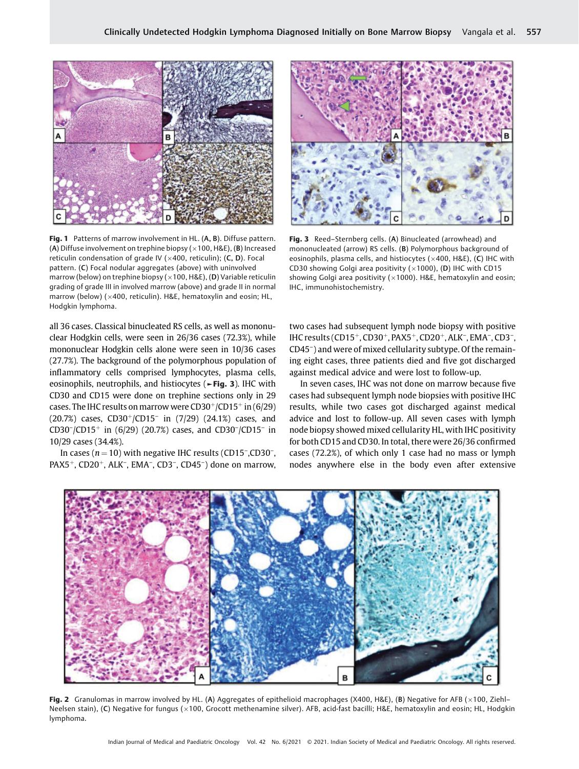

Fig. 1 Patterns of marrow involvement in HL. (A, B). Diffuse pattern. (A) Diffuse involvement on trephine biopsy ( $\times$ 100, H&E), (B) Increased reticulin condensation of grade IV ( $\times$ 400, reticulin); (C, D). Focal pattern. (C) Focal nodular aggregates (above) with uninvolved marrow (below) on trephine biopsy ( $\times$ 100, H&E), (D) Variable reticulin grading of grade III in involved marrow (above) and grade II in normal marrow (below) ( $\times$ 400, reticulin). H&E, hematoxylin and eosin; HL, Hodgkin lymphoma.

all 36 cases. Classical binucleated RS cells, as well as mononuclear Hodgkin cells, were seen in 26/36 cases (72.3%), while mononuclear Hodgkin cells alone were seen in 10/36 cases (27.7%). The background of the polymorphous population of inflammatory cells comprised lymphocytes, plasma cells, eosinophils, neutrophils, and histiocytes (►Fig. 3). IHC with CD30 and CD15 were done on trephine sections only in 29 cases. The IHC results on marrow were  $CD30<sup>+</sup>/CD15<sup>+</sup>$  in (6/29) (20.7%) cases,  $CD30^{+}/CD15^{-}$  in (7/29) (24.1%) cases, and  $CD30^{-}/CD15^{+}$  in (6/29) (20.7%) cases, and CD30<sup>-</sup>/CD15<sup>-</sup> in 10/29 cases (34.4%).

In cases  $(n = 10)$  with negative IHC results (CD15<sup>-</sup>,CD30<sup>-</sup>, PAX5<sup>+</sup>, CD20<sup>+</sup>, ALK<sup>-</sup>, EMA<sup>-</sup>, CD3<sup>-</sup>, CD45<sup>-</sup>) done on marrow,



Fig. 3 Reed-Sternberg cells. (A) Binucleated (arrowhead) and mononucleated (arrow) RS cells. (B) Polymorphous background of eosinophils, plasma cells, and histiocytes ( $\times$ 400, H&E), (C) IHC with CD30 showing Golgi area positivity ( $\times$ 1000), (D) IHC with CD15 showing Golgi area positivity ( $\times$ 1000). H&E, hematoxylin and eosin; IHC, immunohistochemistry.

two cases had subsequent lymph node biopsy with positive IHC results (CD15<sup>+</sup>, CD30<sup>+</sup>, PAX5<sup>+</sup>, CD20<sup>+</sup>, ALK<sup>-</sup>, EMA<sup>-</sup>, CD3<sup>-</sup>, CD45– ) and were of mixed cellularity subtype. Of the remaining eight cases, three patients died and five got discharged against medical advice and were lost to follow-up.

In seven cases, IHC was not done on marrow because five cases had subsequent lymph node biopsies with positive IHC results, while two cases got discharged against medical advice and lost to follow-up. All seven cases with lymph node biopsy showed mixed cellularity HL, with IHC positivity for both CD15 and CD30. In total, there were 26/36 confirmed cases (72.2%), of which only 1 case had no mass or lymph nodes anywhere else in the body even after extensive



Fig. 2 Granulomas in marrow involved by HL. (A) Aggregates of epithelioid macrophages (X400, H&E), (B) Negative for AFB ( $\times$ 100, Ziehl-Neelsen stain), (C) Negative for fungus (×100, Grocott methenamine silver). AFB, acid-fast bacilli; H&E, hematoxylin and eosin; HL, Hodgkin lymphoma.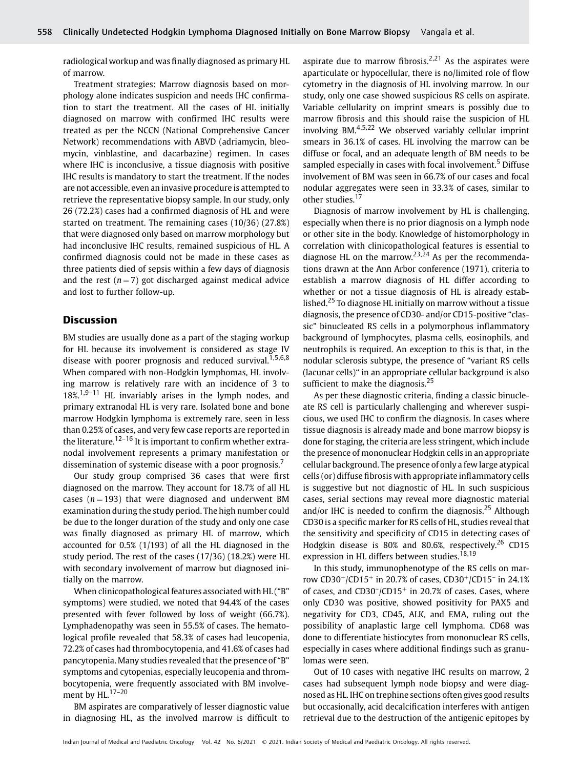radiological workup and was finally diagnosed as primary HL of marrow.

Treatment strategies: Marrow diagnosis based on morphology alone indicates suspicion and needs IHC confirmation to start the treatment. All the cases of HL initially diagnosed on marrow with confirmed IHC results were treated as per the NCCN (National Comprehensive Cancer Network) recommendations with ABVD (adriamycin, bleomycin, vinblastine, and dacarbazine) regimen. In cases where IHC is inconclusive, a tissue diagnosis with positive IHC results is mandatory to start the treatment. If the nodes are not accessible, even an invasive procedure is attempted to retrieve the representative biopsy sample. In our study, only 26 (72.2%) cases had a confirmed diagnosis of HL and were started on treatment. The remaining cases (10/36) (27.8%) that were diagnosed only based on marrow morphology but had inconclusive IHC results, remained suspicious of HL. A confirmed diagnosis could not be made in these cases as three patients died of sepsis within a few days of diagnosis and the rest ( $n = 7$ ) got discharged against medical advice and lost to further follow-up.

### Discussion

BM studies are usually done as a part of the staging workup for HL because its involvement is considered as stage IV disease with poorer prognosis and reduced survival.<sup>1,5,6,8</sup> When compared with non-Hodgkin lymphomas, HL involving marrow is relatively rare with an incidence of 3 to  $18\%$ <sup>1,9–11</sup> HL invariably arises in the lymph nodes, and primary extranodal HL is very rare. Isolated bone and bone marrow Hodgkin lymphoma is extremely rare, seen in less than 0.25% of cases, and very few case reports are reported in the literature.<sup>12–16</sup> It is important to confirm whether extranodal involvement represents a primary manifestation or dissemination of systemic disease with a poor prognosis.<sup>7</sup>

Our study group comprised 36 cases that were first diagnosed on the marrow. They account for 18.7% of all HL cases ( $n = 193$ ) that were diagnosed and underwent BM examination during the study period. The high number could be due to the longer duration of the study and only one case was finally diagnosed as primary HL of marrow, which accounted for 0.5% (1/193) of all the HL diagnosed in the study period. The rest of the cases (17/36) (18.2%) were HL with secondary involvement of marrow but diagnosed initially on the marrow.

When clinicopathological features associated with HL ("B" symptoms) were studied, we noted that 94.4% of the cases presented with fever followed by loss of weight (66.7%). Lymphadenopathy was seen in 55.5% of cases. The hematological profile revealed that 58.3% of cases had leucopenia, 72.2% of cases had thrombocytopenia, and 41.6% of cases had pancytopenia. Many studies revealed that the presence of "B" symptoms and cytopenias, especially leucopenia and thrombocytopenia, were frequently associated with BM involvement by HL $^{17-20}$ 

BM aspirates are comparatively of lesser diagnostic value in diagnosing HL, as the involved marrow is difficult to aspirate due to marrow fibrosis.<sup>2,21</sup> As the aspirates were aparticulate or hypocellular, there is no/limited role of flow cytometry in the diagnosis of HL involving marrow. In our study, only one case showed suspicious RS cells on aspirate. Variable cellularity on imprint smears is possibly due to marrow fibrosis and this should raise the suspicion of HL involving BM $^{4,5,22}$  We observed variably cellular imprint smears in 36.1% of cases. HL involving the marrow can be diffuse or focal, and an adequate length of BM needs to be sampled especially in cases with focal involvement.<sup>5</sup> Diffuse involvement of BM was seen in 66.7% of our cases and focal nodular aggregates were seen in 33.3% of cases, similar to other studies.<sup>17</sup>

Diagnosis of marrow involvement by HL is challenging, especially when there is no prior diagnosis on a lymph node or other site in the body. Knowledge of histomorphology in correlation with clinicopathological features is essential to diagnose HL on the marrow.<sup>23,24</sup> As per the recommendations drawn at the Ann Arbor conference (1971), criteria to establish a marrow diagnosis of HL differ according to whether or not a tissue diagnosis of HL is already established.<sup>25</sup> To diagnose HL initially on marrow without a tissue diagnosis, the presence of CD30- and/or CD15-positive "classic" binucleated RS cells in a polymorphous inflammatory background of lymphocytes, plasma cells, eosinophils, and neutrophils is required. An exception to this is that, in the nodular sclerosis subtype, the presence of "variant RS cells (lacunar cells)" in an appropriate cellular background is also sufficient to make the diagnosis.<sup>25</sup>

As per these diagnostic criteria, finding a classic binucleate RS cell is particularly challenging and wherever suspicious, we used IHC to confirm the diagnosis. In cases where tissue diagnosis is already made and bone marrow biopsy is done for staging, the criteria are less stringent, which include the presence of mononuclear Hodgkin cells in an appropriate cellular background. The presence of only a few large atypical cells (or) diffuse fibrosis with appropriate inflammatory cells is suggestive but not diagnostic of HL. In such suspicious cases, serial sections may reveal more diagnostic material and/or IHC is needed to confirm the diagnosis.<sup>25</sup> Although CD30 is a specific marker for RS cells of HL, studies reveal that the sensitivity and specificity of CD15 in detecting cases of Hodgkin disease is 80% and 80.6%, respectively.<sup>26</sup> CD15 expression in HL differs between studies.<sup>18,19</sup>

In this study, immunophenotype of the RS cells on marrow CD30<sup>+</sup>/CD15<sup>+</sup> in 20.7% of cases, CD30<sup>+</sup>/CD15<sup>-</sup> in 24.1% of cases, and  $CD30^-/CD15^+$  in 20.7% of cases. Cases, where only CD30 was positive, showed positivity for PAX5 and negativity for CD3, CD45, ALK, and EMA, ruling out the possibility of anaplastic large cell lymphoma. CD68 was done to differentiate histiocytes from mononuclear RS cells, especially in cases where additional findings such as granulomas were seen.

Out of 10 cases with negative IHC results on marrow, 2 cases had subsequent lymph node biopsy and were diagnosed as HL. IHC on trephine sections often gives good results but occasionally, acid decalcification interferes with antigen retrieval due to the destruction of the antigenic epitopes by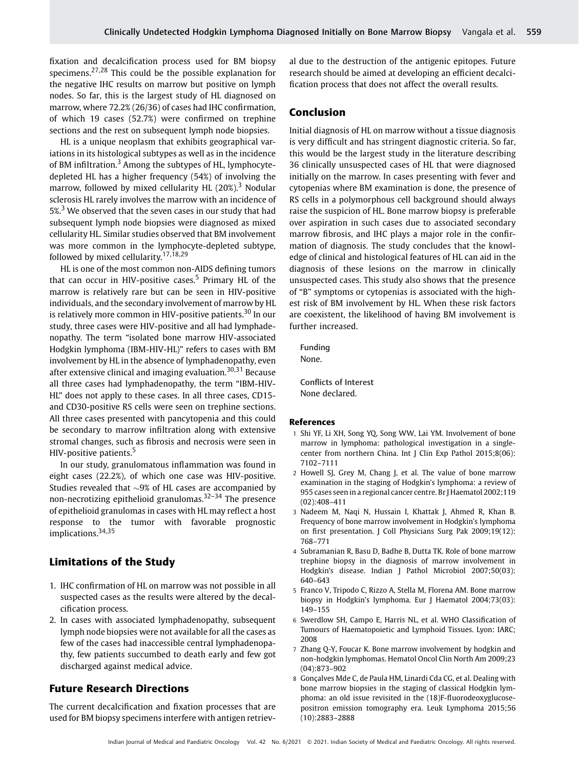fixation and decalcification process used for BM biopsy specimens.27,28 This could be the possible explanation for the negative IHC results on marrow but positive on lymph nodes. So far, this is the largest study of HL diagnosed on marrow, where 72.2% (26/36) of cases had IHC confirmation, of which 19 cases (52.7%) were confirmed on trephine sections and the rest on subsequent lymph node biopsies.

HL is a unique neoplasm that exhibits geographical variations in its histological subtypes as well as in the incidence of BM infiltration.<sup>3</sup> Among the subtypes of HL, lymphocytedepleted HL has a higher frequency (54%) of involving the marrow, followed by mixed cellularity HL  $(20\%)$ <sup>3</sup> Nodular sclerosis HL rarely involves the marrow with an incidence of 5%.<sup>3</sup> We observed that the seven cases in our study that had subsequent lymph node biopsies were diagnosed as mixed cellularity HL. Similar studies observed that BM involvement was more common in the lymphocyte-depleted subtype, followed by mixed cellularity. $17,18,29$ 

HL is one of the most common non-AIDS defining tumors that can occur in HIV-positive cases.<sup>5</sup> Primary HL of the marrow is relatively rare but can be seen in HIV-positive individuals, and the secondary involvement of marrow by HL is relatively more common in HIV-positive patients.<sup>30</sup> In our study, three cases were HIV-positive and all had lymphadenopathy. The term "isolated bone marrow HIV-associated Hodgkin lymphoma (IBM-HIV-HL)" refers to cases with BM involvement by HL in the absence of lymphadenopathy, even after extensive clinical and imaging evaluation.<sup>30,31</sup> Because all three cases had lymphadenopathy, the term "IBM-HIV-HL" does not apply to these cases. In all three cases, CD15 and CD30-positive RS cells were seen on trephine sections. All three cases presented with pancytopenia and this could be secondary to marrow infiltration along with extensive stromal changes, such as fibrosis and necrosis were seen in HIV-positive patients.<sup>5</sup>

In our study, granulomatous inflammation was found in eight cases (22.2%), of which one case was HIV-positive. Studies revealed that  $\sim$ 9% of HL cases are accompanied by non-necrotizing epithelioid granulomas.32–<sup>34</sup> The presence of epithelioid granulomas in cases with HL may reflect a host response to the tumor with favorable prognostic implications.<sup>34,35</sup>

#### Limitations of the Study

- 1. IHC confirmation of HL on marrow was not possible in all suspected cases as the results were altered by the decalcification process.
- 2. In cases with associated lymphadenopathy, subsequent lymph node biopsies were not available for all the cases as few of the cases had inaccessible central lymphadenopathy, few patients succumbed to death early and few got discharged against medical advice.

### Future Research Directions

The current decalcification and fixation processes that are used for BM biopsy specimens interfere with antigen retrieval due to the destruction of the antigenic epitopes. Future research should be aimed at developing an efficient decalcification process that does not affect the overall results.

#### Conclusion

Initial diagnosis of HL on marrow without a tissue diagnosis is very difficult and has stringent diagnostic criteria. So far, this would be the largest study in the literature describing 36 clinically unsuspected cases of HL that were diagnosed initially on the marrow. In cases presenting with fever and cytopenias where BM examination is done, the presence of RS cells in a polymorphous cell background should always raise the suspicion of HL. Bone marrow biopsy is preferable over aspiration in such cases due to associated secondary marrow fibrosis, and IHC plays a major role in the confirmation of diagnosis. The study concludes that the knowledge of clinical and histological features of HL can aid in the diagnosis of these lesions on the marrow in clinically unsuspected cases. This study also shows that the presence of "B" symptoms or cytopenias is associated with the highest risk of BM involvement by HL. When these risk factors are coexistent, the likelihood of having BM involvement is further increased.

Funding None.

Conflicts of Interest None declared.

#### References

- 1 Shi YF, Li XH, Song YQ, Song WW, Lai YM. Involvement of bone marrow in lymphoma: pathological investigation in a singlecenter from northern China. Int J Clin Exp Pathol 2015;8(06): 7102–7111
- 2 Howell SJ, Grey M, Chang J, et al. The value of bone marrow examination in the staging of Hodgkin's lymphoma: a review of 955 cases seen in a regional cancer centre. Br J Haematol 2002;119 (02):408–411
- 3 Nadeem M, Naqi N, Hussain I, Khattak J, Ahmed R, Khan B. Frequency of bone marrow involvement in Hodgkin's lymphoma on first presentation. J Coll Physicians Surg Pak 2009;19(12): 768–771
- 4 Subramanian R, Basu D, Badhe B, Dutta TK. Role of bone marrow trephine biopsy in the diagnosis of marrow involvement in Hodgkin's disease. Indian J Pathol Microbiol 2007;50(03): 640–643
- 5 Franco V, Tripodo C, Rizzo A, Stella M, Florena AM. Bone marrow biopsy in Hodgkin's lymphoma. Eur J Haematol 2004;73(03): 149–155
- 6 Swerdlow SH, Campo E, Harris NL, et al. WHO Classification of Tumours of Haematopoietic and Lymphoid Tissues. Lyon: IARC; 2008
- 7 Zhang Q-Y, Foucar K. Bone marrow involvement by hodgkin and non-hodgkin lymphomas. Hematol Oncol Clin North Am 2009;23 (04):873–902
- 8 Gonçalves Mde C, de Paula HM, Linardi Cda CG, et al. Dealing with bone marrow biopsies in the staging of classical Hodgkin lymphoma: an old issue revisited in the (18)F-fluorodeoxyglucosepositron emission tomography era. Leuk Lymphoma 2015;56 (10):2883–2888